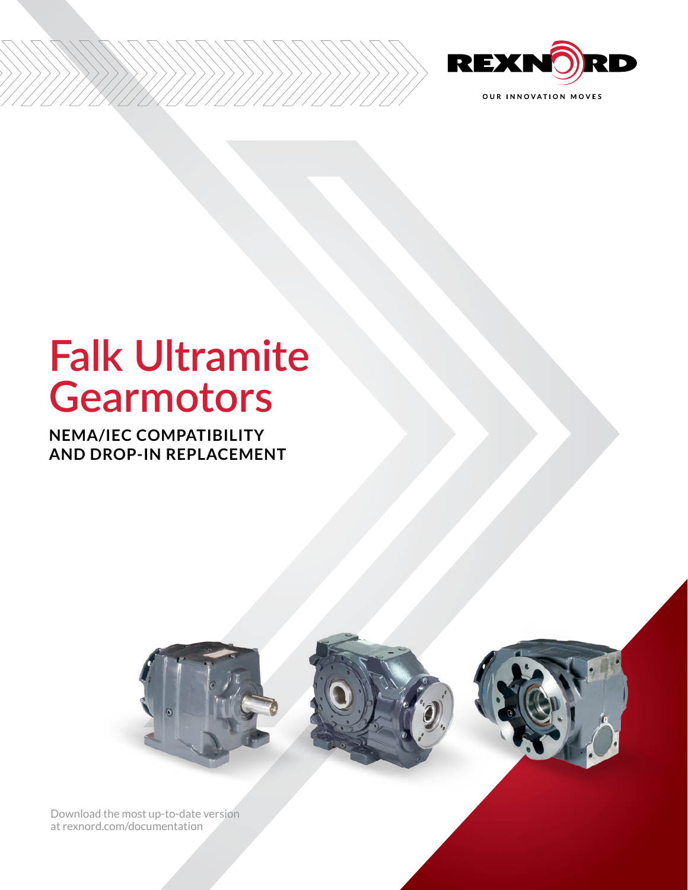

# **Falk Ultramite Gearmotors**

**NEMA/IEC COMPATIBILITY AND DROP-IN REPLACEMENT**



[Download the most up-to-date version](http://www.rexnord.com/documentation)  [at rexnord.com/documentation](http://www.rexnord.com/documentation)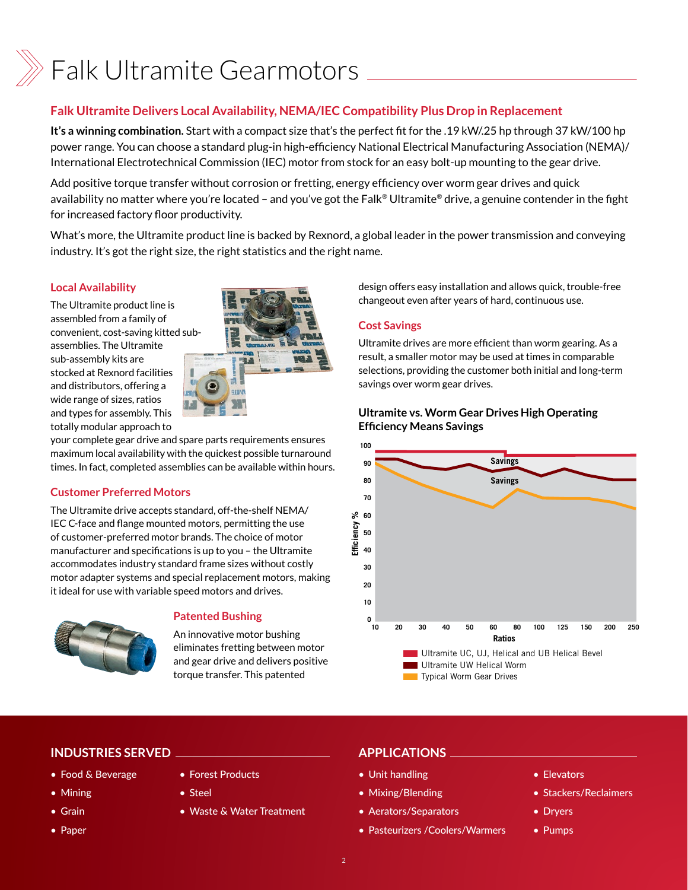

#### **Falk Ultramite Delivers Local Availability, NEMA/IEC Compatibility Plus Drop in Replacement**

**It's a winning combination.** Start with a compact size that's the perfect fit for the .19 kW/.25 hp through 37 kW/100 hp power range. You can choose a standard plug-in high-efficiency National Electrical Manufacturing Association (NEMA)/ International Electrotechnical Commission (IEC) motor from stock for an easy bolt-up mounting to the gear drive.

Add positive torque transfer without corrosion or fretting, energy efficiency over worm gear drives and quick availability no matter where you're located – and you've got the Falk® Ultramite® drive, a genuine contender in the fight for increased factory floor productivity.

What's more, the Ultramite product line is backed by Rexnord, a global leader in the power transmission and conveying industry. It's got the right size, the right statistics and the right name.

#### **Local Availability**

The Ultramite product line is assembled from a family of convenient, cost-saving kitted subassemblies. The Ultramite sub-assembly kits are stocked at Rexnord facilities and distributors, offering a wide range of sizes, ratios and types for assembly. This totally modular approach to



your complete gear drive and spare parts requirements ensures maximum local availability with the quickest possible turnaround times. In fact, completed assemblies can be available within hours.

#### **Customer Preferred Motors**

The Ultramite drive accepts standard, off-the-shelf NEMA/ IEC C-face and flange mounted motors, permitting the use of customer-preferred motor brands. The choice of motor manufacturer and specifications is up to you – the Ultramite accommodates industry standard frame sizes without costly motor adapter systems and special replacement motors, making it ideal for use with variable speed motors and drives.



#### **Patented Bushing**

• Forest Products

• Steel

An innovative motor bushing eliminates fretting between motor and gear drive and delivers positive torque transfer. This patented

design offers easy installation and allows quick, trouble-free changeout even after years of hard, continuous use.

#### **Cost Savings**

Ultramite drives are more efficient than worm gearing. As a result, a smaller motor may be used at times in comparable selections, providing the customer both initial and long-term savings over worm gear drives.

#### Ultramite vs. Worm Gear Drives High Operating **Ultramite vs. Worm Gear Drives High Operating**  Efficiency Means Savings **Efficiency Means Savings**



### **INDUSTRIES SERVED**

- Food & Beverage
- Mining
- Grain
- Paper

• Waste & Water Treatment

#### **APPLICATIONS**

- Unit handling
- Mixing/Blending
- Aerators/Separators
- Pasteurizers /Coolers/Warmers
- Elevators
- Stackers/Reclaimers
- Dryers
- Pumps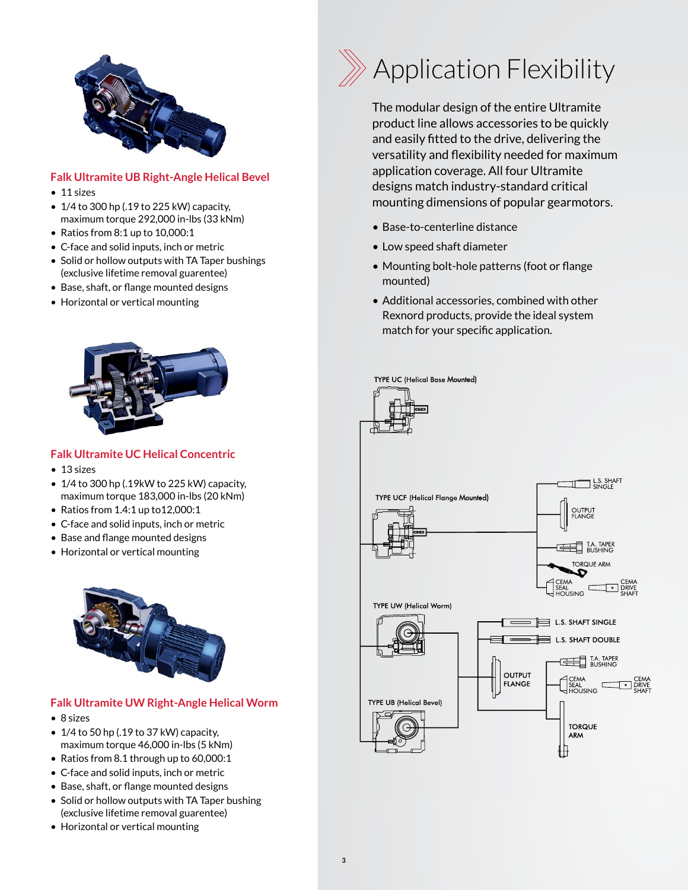

#### **Falk Ultramite UB Right-Angle Helical Bevel**

- 11 sizes
- $\bullet$  1/4 to 300 hp (.19 to 225 kW) capacity, maximum torque 292,000 in-lbs (33 kNm)
- Ratios from 8:1 up to 10,000:1
- C-face and solid inputs, inch or metric
- Solid or hollow outputs with TA Taper bushings (exclusive lifetime removal guarentee)
- Base, shaft, or flange mounted designs
- Horizontal or vertical mounting



#### **Falk Ultramite UC Helical Concentric**

- 13 sizes
- 1/4 to 300 hp (.19kW to 225 kW) capacity, maximum torque 183,000 in-lbs (20 kNm)
- Ratios from 1.4:1 up to12,000:1
- C-face and solid inputs, inch or metric
- Base and flange mounted designs
- Horizontal or vertical mounting



#### **Falk Ultramite UW Right-Angle Helical Worm**

- 8 sizes
- $\bullet$  1/4 to 50 hp (.19 to 37 kW) capacity, maximum torque 46,000 in-lbs (5 kNm)
- Ratios from 8.1 through up to 60,000:1
- C-face and solid inputs, inch or metric
- Base, shaft, or flange mounted designs
- Solid or hollow outputs with TA Taper bushing (exclusive lifetime removal guarentee)
- Horizontal or vertical mounting



The modular design of the entire Ultramite product line allows accessories to be quickly and easily fitted to the drive, delivering the versatility and flexibility needed for maximum application coverage. All four Ultramite designs match industry-standard critical mounting dimensions of popular gearmotors.

- Base-to-centerline distance
- Low speed shaft diameter
- Mounting bolt-hole patterns (foot or flange mounted)
- Additional accessories, combined with other Rexnord products, provide the ideal system match for your specific application.